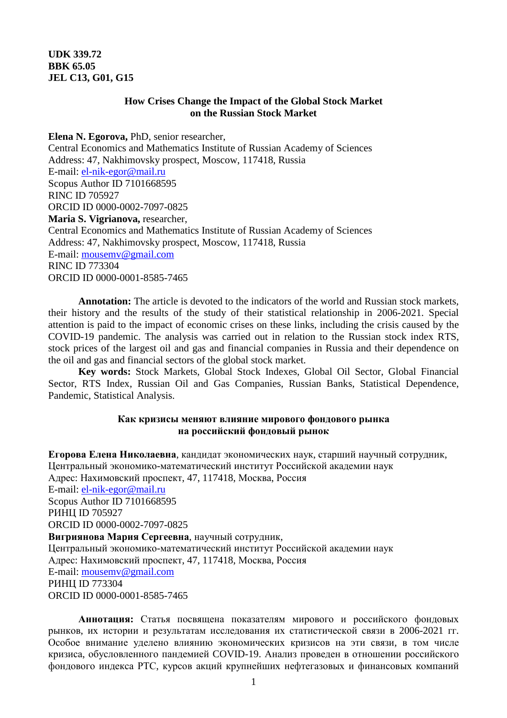# **UDK 339.72 BBK 65.05 JEL C13, G01, G15**

## **How Crises Change the Impact of the Global Stock Market on the Russian Stock Market**

**Elena N. Egorova,** PhD, senior researcher, Central Economics and Mathematics Institute of Russian Academy of Sciences Address: 47, Nakhimovsky prospect, Moscow, 117418, Russia E-mail: el-nik-egor@mail.ru Scopus Author ID 7101668595 RINC ID 705927 ORCID ID 0000-0002-7097-0825 **Maria S. Vigrianova,** researcher, Central Economics and Mathematics Institute of Russian Academy of Sciences Address: 47, Nakhimovsky prospect, Moscow, 117418, Russia E-mail: mousemv@gmail.com RINC ID 773304 ORCID ID 0000-0001-8585-7465

**Annotation:** The article is devoted to the indicators of the world and Russian stock markets, their history and the results of the study of their statistical relationship in 2006-2021. Special attention is paid to the impact of economic crises on these links, including the crisis caused by the COVID-19 pandemic. The analysis was carried out in relation to the Russian stock index RTS, stock prices of the largest oil and gas and financial companies in Russia and their dependence on the oil and gas and financial sectors of the global stock market.

**Key words:** Stock Markets, Global Stock Indexes, Global Oil Sector, Global Financial Sector, RTS Index, Russian Oil and Gas Companies, Russian Banks, Statistical Dependence, Pandemic, Statistical Analysis.

### **Как кризисы меняют влияние мирового фондового рынка на российский фондовый рынок**

**Егорова Елена Николаевна**, кандидат экономических наук, старший научный сотрудник, Центральный экономико-математический институт Российской академии наук Адрес: Нахимовский проспект, 47, 117418, Москва, Россия E-mail: el-nik-egor@mail.ru Scopus Author ID 7101668595 РИНЦ ID 705927 ORCID ID 0000-0002-7097-0825 **Вигриянова Мария Сергеевна**, научный сотрудник, Центральный экономико-математический институт Российской академии наук Адрес: Нахимовский проспект, 47, 117418, Москва, Россия E-mail: mousemv@gmail.com РИНЦ ID 773304 ORCID ID 0000-0001-8585-7465

**Аннотация:** Статья посвящена показателям мирового и российского фондовых рынков, их истории и результатам исследования их статистической связи в 2006-2021 гг. Особое внимание уделено влиянию экономических кризисов на эти связи, в том числе кризиса, обусловленного пандемией COVID-19. Анализ проведен в отношении российского фондового индекса РТС, курсов акций крупнейших нефтегазовых и финансовых компаний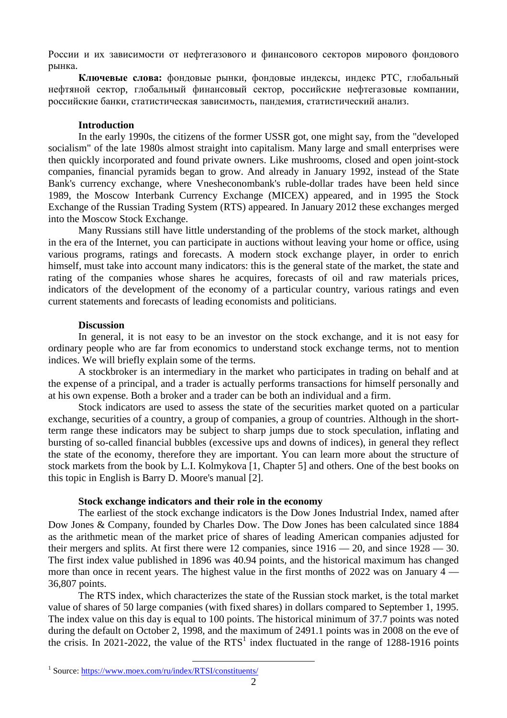России и их зависимости от нефтегазового и финансового секторов мирового фондового рынка.

**Ключевые слова:** фондовые рынки, фондовые индексы, индекс РТС, глобальный нефтяной сектор, глобальный финансовый сектор, российские нефтегазовые компании, российские банки, статистическая зависимость, пандемия, статистический анализ.

### **Introduction**

In the early 1990s, the citizens of the former USSR got, one might say, from the "developed socialism" of the late 1980s almost straight into capitalism. Many large and small enterprises were then quickly incorporated and found private owners. Like mushrooms, closed and open joint-stock companies, financial pyramids began to grow. And already in January 1992, instead of the State Bank's currency exchange, where Vnesheconombank's ruble-dollar trades have been held since 1989, the Moscow Interbank Currency Exchange (MICEX) appeared, and in 1995 the Stock Exchange of the Russian Trading System (RTS) appeared. In January 2012 these exchanges merged into the Moscow Stock Exchange.

Many Russians still have little understanding of the problems of the stock market, although in the era of the Internet, you can participate in auctions without leaving your home or office, using various programs, ratings and forecasts. A modern stock exchange player, in order to enrich himself, must take into account many indicators: this is the general state of the market, the state and rating of the companies whose shares he acquires, forecasts of oil and raw materials prices, indicators of the development of the economy of a particular country, various ratings and even current statements and forecasts of leading economists and politicians.

#### **Discussion**

In general, it is not easy to be an investor on the stock exchange, and it is not easy for ordinary people who are far from economics to understand stock exchange terms, not to mention indices. We will briefly explain some of the terms.

A stockbroker is an intermediary in the market who participates in trading on behalf and at the expense of a principal, and a trader is actually performs transactions for himself personally and at his own expense. Both a broker and a trader can be both an individual and a firm.

Stock indicators are used to assess the state of the securities market quoted on a particular exchange, securities of a country, a group of companies, a group of countries. Although in the shortterm range these indicators may be subject to sharp jumps due to stock speculation, inflating and bursting of so-called financial bubbles (excessive ups and downs of indices), in general they reflect the state of the economy, therefore they are important. You can learn more about the structure of stock markets from the book by L.I. Kolmykova [1, Chapter 5] and others. One of the best books on this topic in English is Barry D. Moore's manual [2].

#### **Stock exchange indicators and their role in the economy**

 $\overline{a}$ 

The earliest of the stock exchange indicators is the Dow Jones Industrial Index, named after Dow Jones & Company, founded by Charles Dow. The Dow Jones has been calculated since 1884 as the arithmetic mean of the market price of shares of leading American companies adjusted for their mergers and splits. At first there were 12 companies, since  $1916 - 20$ , and since  $1928 - 30$ . The first index value published in 1896 was 40.94 points, and the historical maximum has changed more than once in recent years. The highest value in the first months of 2022 was on January 4 — 36,807 points.

The RTS index, which characterizes the state of the Russian stock market, is the total market value of shares of 50 large companies (with fixed shares) in dollars compared to September 1, 1995. The index value on this day is equal to 100 points. The historical minimum of 37.7 points was noted during the default on October 2, 1998, and the maximum of 2491.1 points was in 2008 on the eve of the crisis. In 2021-2022, the value of the  $RTS<sup>1</sup>$  index fluctuated in the range of 1288-1916 points

<sup>&</sup>lt;sup>1</sup> Source: https://www.moex.com/ru/index/RTSI/constituents/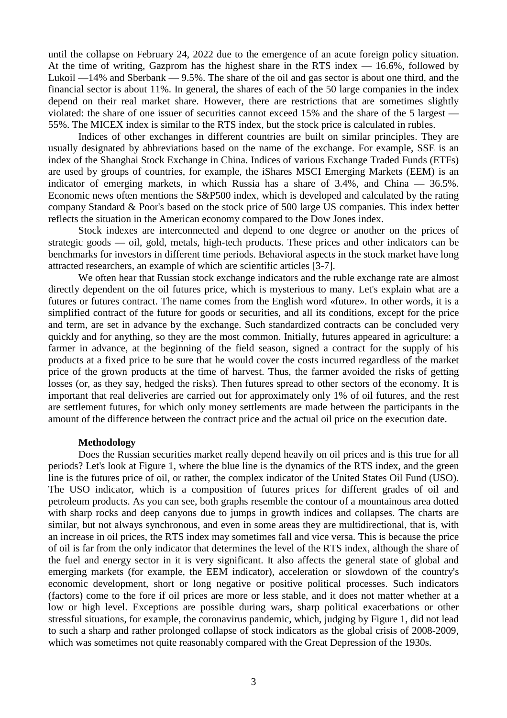until the collapse on February 24, 2022 due to the emergence of an acute foreign policy situation. At the time of writing, Gazprom has the highest share in the RTS index — 16.6%, followed by Lukoil —14% and Sberbank — 9.5%. The share of the oil and gas sector is about one third, and the financial sector is about 11%. In general, the shares of each of the 50 large companies in the index depend on their real market share. However, there are restrictions that are sometimes slightly violated: the share of one issuer of securities cannot exceed 15% and the share of the 5 largest — 55%. The MICEX index is similar to the RTS index, but the stock price is calculated in rubles.

Indices of other exchanges in different countries are built on similar principles. They are usually designated by abbreviations based on the name of the exchange. For example, SSE is an index of the Shanghai Stock Exchange in China. Indices of various Exchange Traded Funds (ETFs) are used by groups of countries, for example, the iShares MSCI Emerging Markets (EEM) is an indicator of emerging markets, in which Russia has a share of 3.4%, and China — 36.5%. Economic news often mentions the S&P500 index, which is developed and calculated by the rating company Standard & Poor's based on the stock price of 500 large US companies. This index better reflects the situation in the American economy compared to the Dow Jones index.

Stock indexes are interconnected and depend to one degree or another on the prices of strategic goods — oil, gold, metals, high-tech products. These prices and other indicators can be benchmarks for investors in different time periods. Behavioral aspects in the stock market have long attracted researchers, an example of which are scientific articles [3-7].

We often hear that Russian stock exchange indicators and the ruble exchange rate are almost directly dependent on the oil futures price, which is mysterious to many. Let's explain what are a futures or futures contract. The name comes from the English word «future». In other words, it is a simplified contract of the future for goods or securities, and all its conditions, except for the price and term, are set in advance by the exchange. Such standardized contracts can be concluded very quickly and for anything, so they are the most common. Initially, futures appeared in agriculture: a farmer in advance, at the beginning of the field season, signed a contract for the supply of his products at a fixed price to be sure that he would cover the costs incurred regardless of the market price of the grown products at the time of harvest. Thus, the farmer avoided the risks of getting losses (or, as they say, hedged the risks). Then futures spread to other sectors of the economy. It is important that real deliveries are carried out for approximately only 1% of oil futures, and the rest are settlement futures, for which only money settlements are made between the participants in the amount of the difference between the contract price and the actual oil price on the execution date.

#### **Methodology**

Does the Russian securities market really depend heavily on oil prices and is this true for all periods? Let's look at Figure 1, where the blue line is the dynamics of the RTS index, and the green line is the futures price of oil, or rather, the complex indicator of the United States Oil Fund (USO). The USO indicator, which is a composition of futures prices for different grades of oil and petroleum products. As you can see, both graphs resemble the contour of a mountainous area dotted with sharp rocks and deep canyons due to jumps in growth indices and collapses. The charts are similar, but not always synchronous, and even in some areas they are multidirectional, that is, with an increase in oil prices, the RTS index may sometimes fall and vice versa. This is because the price of oil is far from the only indicator that determines the level of the RTS index, although the share of the fuel and energy sector in it is very significant. It also affects the general state of global and emerging markets (for example, the EEM indicator), acceleration or slowdown of the country's economic development, short or long negative or positive political processes. Such indicators (factors) come to the fore if oil prices are more or less stable, and it does not matter whether at a low or high level. Exceptions are possible during wars, sharp political exacerbations or other stressful situations, for example, the coronavirus pandemic, which, judging by Figure 1, did not lead to such a sharp and rather prolonged collapse of stock indicators as the global crisis of 2008-2009, which was sometimes not quite reasonably compared with the Great Depression of the 1930s.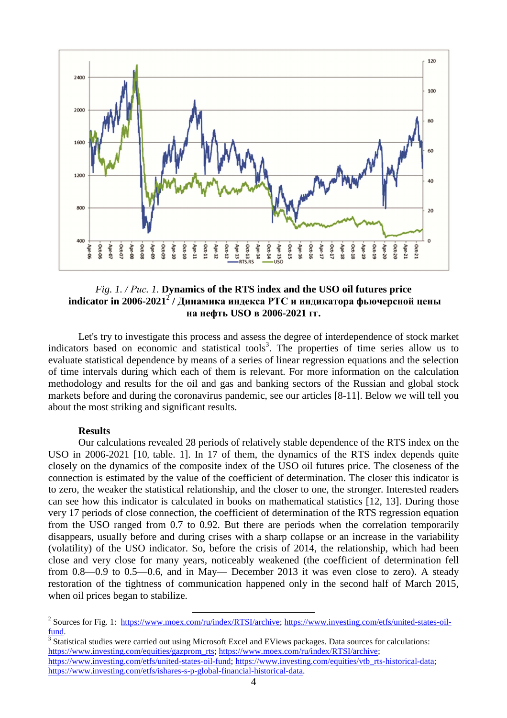

## *Fig. 1. / Рис. 1.* **Dynamics of the RTS index and the USO oil futures price indicator in 2006-2021**<sup>2</sup>  **/ Динамика индекса РТС и индикатора фьючерсной цены на нефть USO в 2006-2021 гг.**

Let's try to investigate this process and assess the degree of interdependence of stock market indicators based on economic and statistical tools<sup>3</sup>. The properties of time series allow us to evaluate statistical dependence by means of a series of linear regression equations and the selection of time intervals during which each of them is relevant. For more information on the calculation methodology and results for the oil and gas and banking sectors of the Russian and global stock markets before and during the coronavirus pandemic, see our articles [8-11]. Below we will tell you about the most striking and significant results.

## **Results**

Our calculations revealed 28 periods of relatively stable dependence of the RTS index on the USO in 2006-2021 [10, table. 1]. In 17 of them, the dynamics of the RTS index depends quite closely on the dynamics of the composite index of the USO oil futures price. The closeness of the connection is estimated by the value of the coefficient of determination. The closer this indicator is to zero, the weaker the statistical relationship, and the closer to one, the stronger. Interested readers can see how this indicator is calculated in books on mathematical statistics [12, 13]. During those very 17 periods of close connection, the coefficient of determination of the RTS regression equation from the USO ranged from 0.7 to 0.92. But there are periods when the correlation temporarily disappears, usually before and during crises with a sharp collapse or an increase in the variability (volatility) of the USO indicator. So, before the crisis of 2014, the relationship, which had been close and very close for many years, noticeably weakened (the coefficient of determination fell from 0.8—0.9 to 0.5—0.6, and in May— December 2013 it was even close to zero). A steady restoration of the tightness of communication happened only in the second half of March 2015, when oil prices began to stabilize.

l

<sup>&</sup>lt;sup>2</sup> Sources for Fig. 1: https://www.moex.com/ru/index/RTSI/archive; https://www.investing.com/etfs/united-states-oilfund.

 $3$  Statistical studies were carried out using Microsoft Excel and EViews packages. Data sources for calculations: https://www.investing.com/equities/gazprom\_rts; https://www.moex.com/ru/index/RTSI/archive; https://www.investing.com/etfs/united-states-oil-fund; https://www.investing.com/equities/vtb\_rts-historical-data; https://www.investing.com/etfs/ishares-s-p-global-financial-historical-data.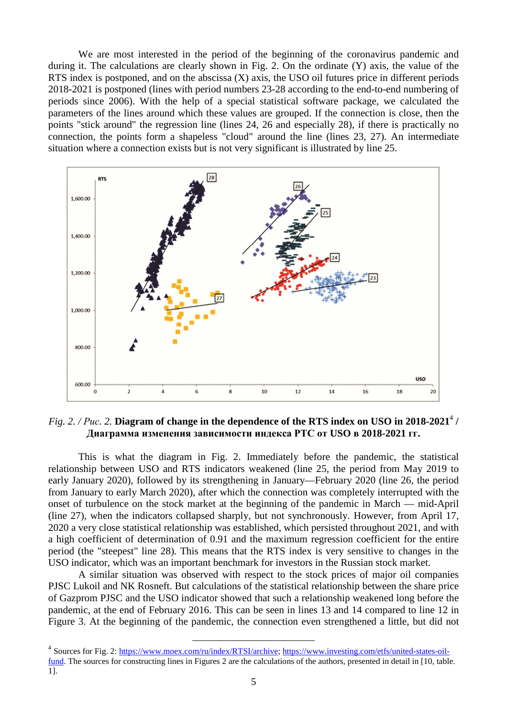We are most interested in the period of the beginning of the coronavirus pandemic and during it. The calculations are clearly shown in Fig. 2. On the ordinate (Y) axis, the value of the RTS index is postponed, and on the abscissa (X) axis, the USO oil futures price in different periods 2018-2021 is postponed (lines with period numbers 23-28 according to the end-to-end numbering of periods since 2006). With the help of a special statistical software package, we calculated the parameters of the lines around which these values are grouped. If the connection is close, then the points "stick around" the regression line (lines 24, 26 and especially 28), if there is practically no connection, the points form a shapeless "cloud" around the line (lines 23, 27). An intermediate situation where a connection exists but is not very significant is illustrated by line 25.



*Fig. 2. / Puc. 2.* Diagram of change in the dependence of the RTS index on USO in 2018-2021<sup>4</sup> / **Диаграмма изменения зависимости индекса РТС от USO в 2018-2021 гг.**

This is what the diagram in Fig. 2. Immediately before the pandemic, the statistical relationship between USO and RTS indicators weakened (line 25, the period from May 2019 to early January 2020), followed by its strengthening in January—February 2020 (line 26, the period from January to early March 2020), after which the connection was completely interrupted with the onset of turbulence on the stock market at the beginning of the pandemic in March — mid-April (line 27), when the indicators collapsed sharply, but not synchronously. However, from April 17, 2020 a very close statistical relationship was established, which persisted throughout 2021, and with a high coefficient of determination of 0.91 and the maximum regression coefficient for the entire period (the "steepest" line 28). This means that the RTS index is very sensitive to changes in the USO indicator, which was an important benchmark for investors in the Russian stock market.

A similar situation was observed with respect to the stock prices of major oil companies PJSC Lukoil and NK Rosneft. But calculations of the statistical relationship between the share price of Gazprom PJSC and the USO indicator showed that such a relationship weakened long before the pandemic, at the end of February 2016. This can be seen in lines 13 and 14 compared to line 12 in Figure 3. At the beginning of the pandemic, the connection even strengthened a little, but did not

l

<sup>&</sup>lt;sup>4</sup> Sources for Fig. 2: https://www.moex.com/ru/index/RTSI/archive; https://www.investing.com/etfs/united-states-oilfund. The sources for constructing lines in Figures 2 are the calculations of the authors, presented in detail in [10, table. 1].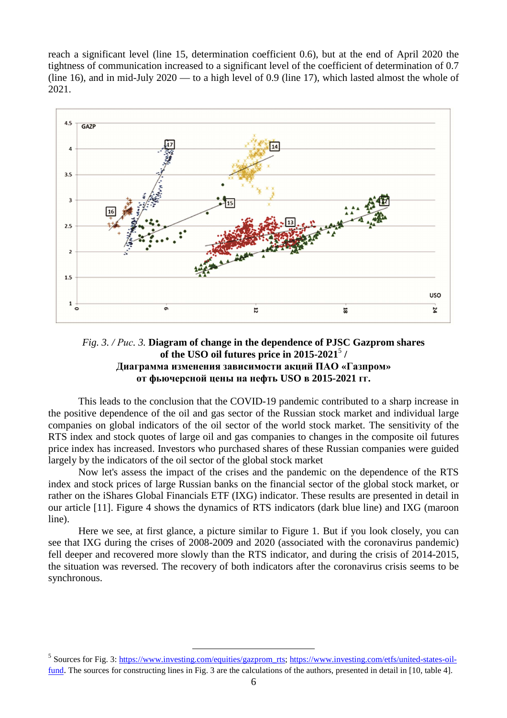reach a significant level (line 15, determination coefficient 0.6), but at the end of April 2020 the tightness of communication increased to a significant level of the coefficient of determination of 0.7 (line 16), and in mid-July 2020 — to a high level of 0.9 (line 17), which lasted almost the whole of 2021.



## *Fig. 3. / Рис. 3.* **Diagram of change in the dependence of PJSC Gazprom shares of the USO oil futures price in 2015-2021**<sup>5</sup>  **/ Диаграмма изменения зависимости акций ПАО «Газпром» от фьючерсной цены на нефть USO в 2015-2021 гг.**

This leads to the conclusion that the COVID-19 pandemic contributed to a sharp increase in the positive dependence of the oil and gas sector of the Russian stock market and individual large companies on global indicators of the oil sector of the world stock market. The sensitivity of the RTS index and stock quotes of large oil and gas companies to changes in the composite oil futures price index has increased. Investors who purchased shares of these Russian companies were guided largely by the indicators of the oil sector of the global stock market

Now let's assess the impact of the crises and the pandemic on the dependence of the RTS index and stock prices of large Russian banks on the financial sector of the global stock market, or rather on the iShares Global Financials ETF (IXG) indicator. These results are presented in detail in our article [11]. Figure 4 shows the dynamics of RTS indicators (dark blue line) and IXG (maroon line).

Here we see, at first glance, a picture similar to Figure 1. But if you look closely, you can see that IXG during the crises of 2008-2009 and 2020 (associated with the coronavirus pandemic) fell deeper and recovered more slowly than the RTS indicator, and during the crisis of 2014-2015, the situation was reversed. The recovery of both indicators after the coronavirus crisis seems to be synchronous.

<sup>&</sup>lt;sup>5</sup> Sources for Fig. 3: https://www.investing.com/equities/gazprom\_rts; https://www.investing.com/etfs/united-states-oilfund. The sources for constructing lines in Fig. 3 are the calculations of the authors, presented in detail in [10, table 4].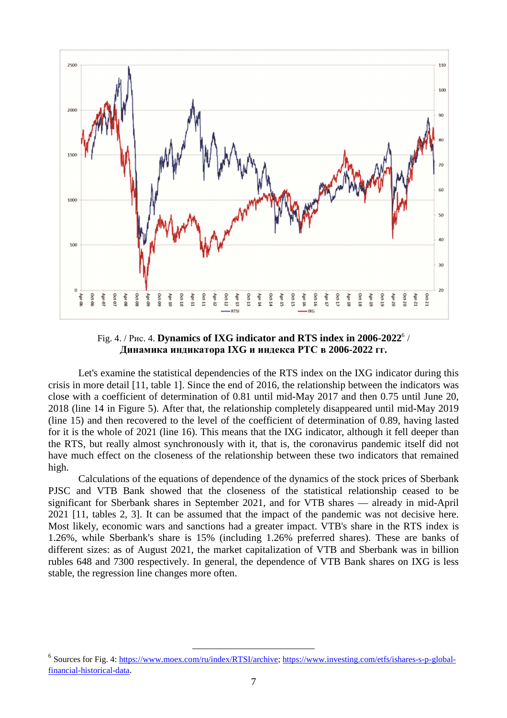

Fig. 4. / Puc. 4. **Dynamics of IXG indicator and RTS index in 2006-2022**<sup>6</sup> / **Динамика индикатора IXG и индекса РТС в 2006-2022 гг.** 

Let's examine the statistical dependencies of the RTS index on the IXG indicator during this crisis in more detail [11, table 1]. Since the end of 2016, the relationship between the indicators was close with a coefficient of determination of 0.81 until mid-May 2017 and then 0.75 until June 20, 2018 (line 14 in Figure 5). After that, the relationship completely disappeared until mid-May 2019 (line 15) and then recovered to the level of the coefficient of determination of 0.89, having lasted for it is the whole of 2021 (line 16). This means that the IXG indicator, although it fell deeper than the RTS, but really almost synchronously with it, that is, the coronavirus pandemic itself did not have much effect on the closeness of the relationship between these two indicators that remained high.

Calculations of the equations of dependence of the dynamics of the stock prices of Sberbank PJSC and VTB Bank showed that the closeness of the statistical relationship ceased to be significant for Sberbank shares in September 2021, and for VTB shares — already in mid-April 2021 [11, tables 2, 3]. It can be assumed that the impact of the pandemic was not decisive here. Most likely, economic wars and sanctions had a greater impact. VTB's share in the RTS index is 1.26%, while Sberbank's share is 15% (including 1.26% preferred shares). These are banks of different sizes: as of August 2021, the market capitalization of VTB and Sberbank was in billion rubles 648 and 7300 respectively. In general, the dependence of VTB Bank shares on IXG is less stable, the regression line changes more often.

<sup>&</sup>lt;sup>6</sup> Sources for Fig. 4: https://www.moex.com/ru/index/RTSI/archive; https://www.investing.com/etfs/ishares-s-p-globalfinancial-historical-data.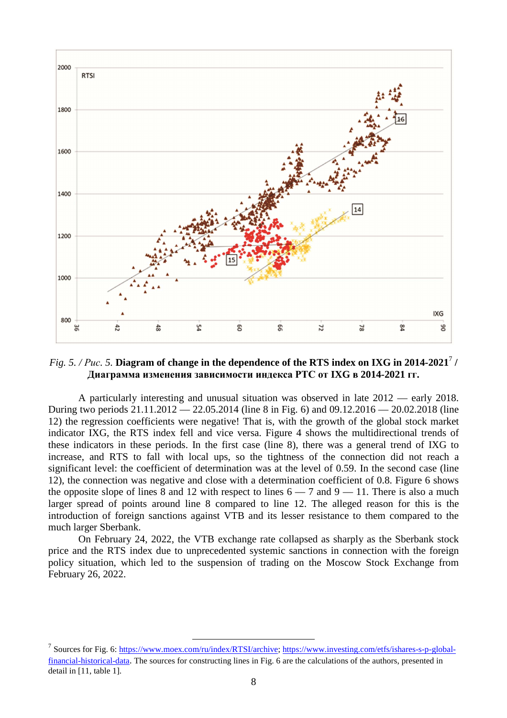

# *Fig. 5. / Puc. 5.* Diagram of change in the dependence of the RTS index on IXG in 2014-2021<sup>7</sup> / **Диаграмма изменения зависимости индекса РТС от IXG в 2014-2021 гг.**

A particularly interesting and unusual situation was observed in late 2012 — early 2018. During two periods 21.11.2012 — 22.05.2014 (line 8 in Fig. 6) and 09.12.2016 — 20.02.2018 (line 12) the regression coefficients were negative! That is, with the growth of the global stock market indicator IXG, the RTS index fell and vice versa. Figure 4 shows the multidirectional trends of these indicators in these periods. In the first case (line 8), there was a general trend of IXG to increase, and RTS to fall with local ups, so the tightness of the connection did not reach a significant level: the coefficient of determination was at the level of 0.59. In the second case (line 12), the connection was negative and close with a determination coefficient of 0.8. Figure 6 shows the opposite slope of lines  $\overline{8}$  and 12 with respect to lines  $6 - 7$  and  $9 - 11$ . There is also a much larger spread of points around line 8 compared to line 12. The alleged reason for this is the introduction of foreign sanctions against VTB and its lesser resistance to them compared to the much larger Sberbank.

On February 24, 2022, the VTB exchange rate collapsed as sharply as the Sberbank stock price and the RTS index due to unprecedented systemic sanctions in connection with the foreign policy situation, which led to the suspension of trading on the Moscow Stock Exchange from February 26, 2022.

<sup>&</sup>lt;sup>7</sup> Sources for Fig. 6: https://www.moex.com/ru/index/RTSI/archive; https://www.investing.com/etfs/ishares-s-p-globalfinancial-historical-data. The sources for constructing lines in Fig. 6 are the calculations of the authors, presented in detail in [11, table 1].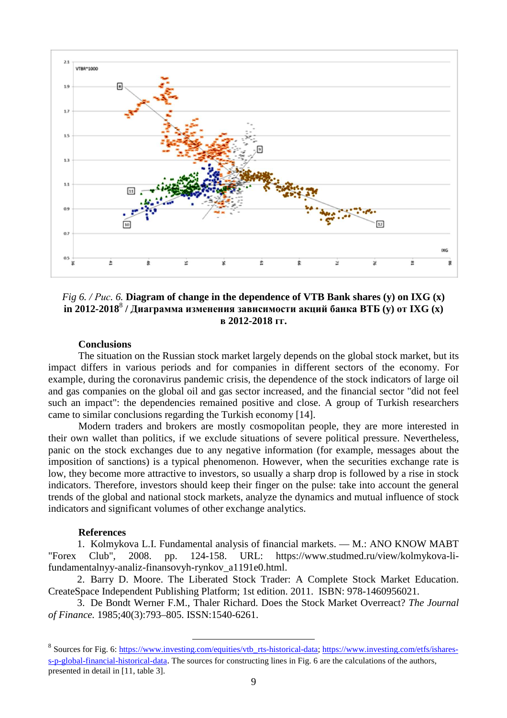

*Fig 6. / Рис. 6.* **Diagram of change in the dependence of VTB Bank shares (y) on IXG (x) in 2012-2018**<sup>8</sup>  **/ Диаграмма изменения зависимости акций банка ВТБ (y) от IXG (x) в 2012-2018 гг.** 

### **Conclusions**

The situation on the Russian stock market largely depends on the global stock market, but its impact differs in various periods and for companies in different sectors of the economy. For example, during the coronavirus pandemic crisis, the dependence of the stock indicators of large oil and gas companies on the global oil and gas sector increased, and the financial sector "did not feel such an impact": the dependencies remained positive and close. A group of Turkish researchers came to similar conclusions regarding the Turkish economy [14].

Modern traders and brokers are mostly cosmopolitan people, they are more interested in their own wallet than politics, if we exclude situations of severe political pressure. Nevertheless, panic on the stock exchanges due to any negative information (for example, messages about the imposition of sanctions) is a typical phenomenon. However, when the securities exchange rate is low, they become more attractive to investors, so usually a sharp drop is followed by a rise in stock indicators. Therefore, investors should keep their finger on the pulse: take into account the general trends of the global and national stock markets, analyze the dynamics and mutual influence of stock indicators and significant volumes of other exchange analytics.

### **References**

1. Kolmykova L.I. Fundamental analysis of financial markets. — M.: ANO KNOW MABT "Forex Club", 2008. pp. 124-158. URL: https://www.studmed.ru/view/kolmykova-lifundamentalnyy-analiz-finansovyh-rynkov\_a1191e0.html.

2. Barry D. Moore. The Liberated Stock Trader: A Complete Stock Market Education. CreateSpace Independent Publishing Platform; 1st edition. 2011. ISBN: 978-1460956021.

3. De Bondt Werner F.M., Thaler Richard. Does the Stock Market Overreact? *The Journal of Finance.* 1985;40(3):793–805. ISSN:1540-6261.

<sup>&</sup>lt;sup>8</sup> Sources for Fig. 6: https://www.investing.com/equities/vtb\_rts-historical-data; https://www.investing.com/etfs/isharess-p-global-financial-historical-data. The sources for constructing lines in Fig. 6 are the calculations of the authors, presented in detail in [11, table 3].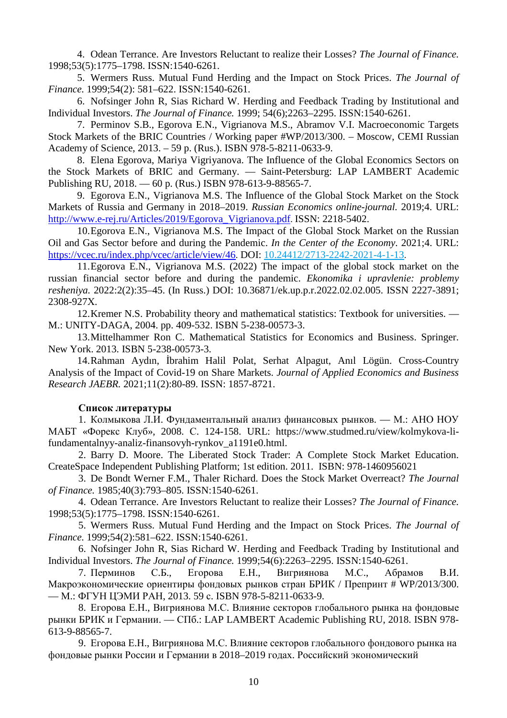4. Odean Terrance. Are Investors Reluctant to realize their Losses? *The Journal of Finance.* 1998;53(5):1775–1798. ISSN:1540-6261.

5. Wermers Russ. Mutual Fund Herding and the Impact on Stock Prices. *The Journal of Finance.* 1999;54(2): 581–622. ISSN:1540-6261.

6. Nofsinger John R, Sias Richard W. Herding and Feedback Trading by Institutional and Individual Investors. *The Journal of Finance.* 1999; 54(6);2263–2295. ISSN:1540-6261.

7. Perminov S.B., Egorova E.N., Vigrianova M.S., Abramov V.I. Macroeconomic Targets Stock Markets of the BRIC Countries / Working paper #WP/2013/300. – Moscow, CEMI Russian Academy of Science, 2013. – 59 p. (Rus.). ISBN 978-5-8211-0633-9.

8. Elena Egorova, Mariya Vigriyanova. The Influence of the Global Economics Sectors on the Stock Markets of BRIC and Germany. — Saint-Petersburg: LAP LAMBERT Academic Publishing RU, 2018. — 60 p. (Rus.) ISBN 978-613-9-88565-7.

9. Egorova E.N., Vigrianova M.S. The Influence of the Global Stock Market on the Stock Markets of Russia and Germany in 2018–2019. *Russian Economics online-journal.* 2019;4. URL: http://www.e-rej.ru/Articles/2019/Egorova\_Vigrianova.pdf. ISSN: 2218-5402.

10.Egorova E.N., Vigrianova M.S. The Impact of the Global Stock Market on the Russian Oil and Gas Sector before and during the Pandemic. *In the Center of the Economy*. 2021;4. URL: https://vcec.ru/index.php/vcec/article/view/46. DOI: 10.24412/2713-2242-2021-4-1-13.

11.Egorova E.N., Vigrianova M.S. (2022) The impact of the global stock market on the russian financial sector before and during the pandemic. *Ekonomika i upravlenie: problemy resheniya.* 2022:2(2):35–45. (In Russ.) DOI: 10.36871/ek.up.p.r.2022.02.02.005. ISSN 2227-3891; 2308-927Х.

12.Kremer N.S. Probability theory and mathematical statistics: Textbook for universities. — M.: UNITY-DAGA, 2004. pp. 409-532. ISBN 5-238-00573-3.

13.Mittelhammer Ron C. Mathematical Statistics for Economics and Business. Springer. New York. 2013. ISBN 5-238-00573-3.

14.Rahman Aydın, İbrahim Halil Polat, Serhat Alpagut, Anıl Lögün. Cross-Country Analysis of the Impact of Covid-19 on Share Markets. *Journal of Applied Economics and Business Research JAEBR.* 2021;11(2):80-89. ISSN: 1857-8721.

### **Список литературы**

1. Колмыкова Л.И. Фундаментальный анализ финансовых рынков. — М.: АНО НОУ МАБТ «Форекс Клуб», 2008. С. 124-158. URL: https://www.studmed.ru/view/kolmykova-lifundamentalnyy-analiz-finansovyh-rynkov\_a1191e0.html.

2. Barry D. Moore. The Liberated Stock Trader: A Complete Stock Market Education. CreateSpace Independent Publishing Platform; 1st edition. 2011. ISBN: 978-1460956021

3. De Bondt Werner F.M., Thaler Richard. Does the Stock Market Overreact? *The Journal of Finance.* 1985;40(3):793–805. ISSN:1540-6261.

4. Odean Terrance. Are Investors Reluctant to realize their Losses? *The Journal of Finance.*  1998;53(5):1775–1798. ISSN:1540-6261.

5. Wermers Russ. Mutual Fund Herding and the Impact on Stock Prices. *The Journal of Finance.* 1999;54(2):581–622. ISSN:1540-6261.

6. Nofsinger John R, Sias Richard W. Herding and Feedback Trading by Institutional and Individual Investors. *The Journal of Finance.* 1999;54(6):2263–2295. ISSN:1540-6261.

7. Перминов С.Б., Егорова Е.Н., Вигриянова М.С., Абрамов В.И. Макроэкономические ориентиры фондовых рынков стран БРИК / Препринт # WP/2013/300. — М.: ФГУН ЦЭМИ РАН, 2013. 59 с. ISBN 978-5-8211-0633-9.

8. Егорова Е.Н., Вигриянова М.С. Влияние секторов глобального рынка на фондовые рынки БРИК и Германии. — СПб.: LAP LAMBERT Academic Publishing RU, 2018. ISBN 978- 613-9-88565-7.

9. Егорова Е.Н., Вигриянова М.С. Влияние секторов глобального фондового рынка на фондовые рынки России и Германии в 2018–2019 годах. Российский экономический